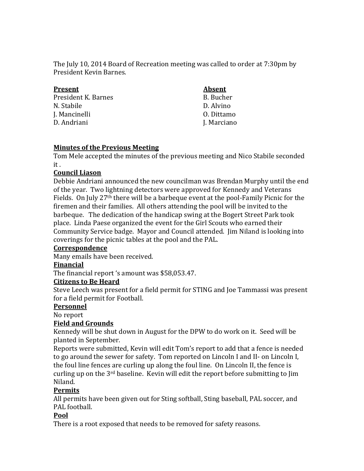The July 10, 2014 Board of Recreation meeting was called to order at 7:30pm by President Kevin Barnes.

| <b>Present</b>      | <b>Absent</b> |
|---------------------|---------------|
| President K. Barnes | B. Bucher     |
| N. Stabile          | D. Alvino     |
| J. Mancinelli       | 0. Dittamo    |
| D. Andriani         | J. Marciano   |
|                     |               |

### **Minutes of the Previous Meeting**

Tom Mele accepted the minutes of the previous meeting and Nico Stabile seconded it .

#### **Council Liason**

Debbie Andriani announced the new councilman was Brendan Murphy until the end of the year. Two lightning detectors were approved for Kennedy and Veterans Fields. On July 27th there will be a barbeque event at the pool-Family Picnic for the firemen and their families. All others attending the pool will be invited to the barbeque. The dedication of the handicap swing at the Bogert Street Park took place. Linda Paese organized the event for the Girl Scouts who earned their Community Service badge. Mayor and Council attended. Jim Niland is looking into coverings for the picnic tables at the pool and the PAL.

#### **Correspondence**

Many emails have been received.

#### **Financial**

The financial report 's amount was \$58,053.47.

#### **Citizens to Be Heard**

Steve Leech was present for a field permit for STING and Joe Tammassi was present for a field permit for Football.

#### **Personnel**

No report

### **Field and Grounds**

Kennedy will be shut down in August for the DPW to do work on it. Seed will be planted in September.

Reports were submitted, Kevin will edit Tom's report to add that a fence is needed to go around the sewer for safety. Tom reported on Lincoln I and II- on Lincoln I, the foul line fences are curling up along the foul line. On Lincoln II, the fence is curling up on the 3rd baseline. Kevin will edit the report before submitting to Jim Niland.

#### **Permits**

All permits have been given out for Sting softball, Sting baseball, PAL soccer, and PAL football.

### **Pool**

There is a root exposed that needs to be removed for safety reasons.